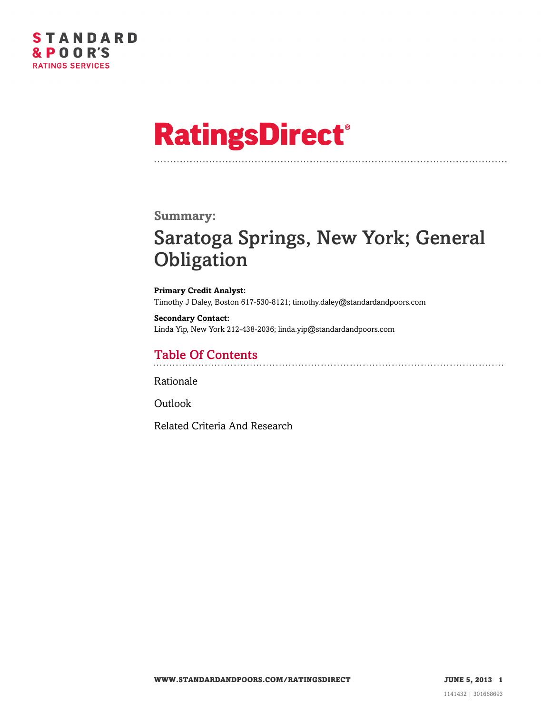

# **RatingsDirect®**

#### **Summary:**

## Saratoga Springs, New York; General **Obligation**

**Primary Credit Analyst:** Timothy J Daley, Boston 617-530-8121; timothy.daley@standardandpoors.com

**Secondary Contact:** Linda Yip, New York 212-438-2036; linda.yip@standardandpoors.com

### Table Of Contents

[Rationale](#page-1-0)

[Outlook](#page-3-0)

[Related Criteria And Research](#page-3-1)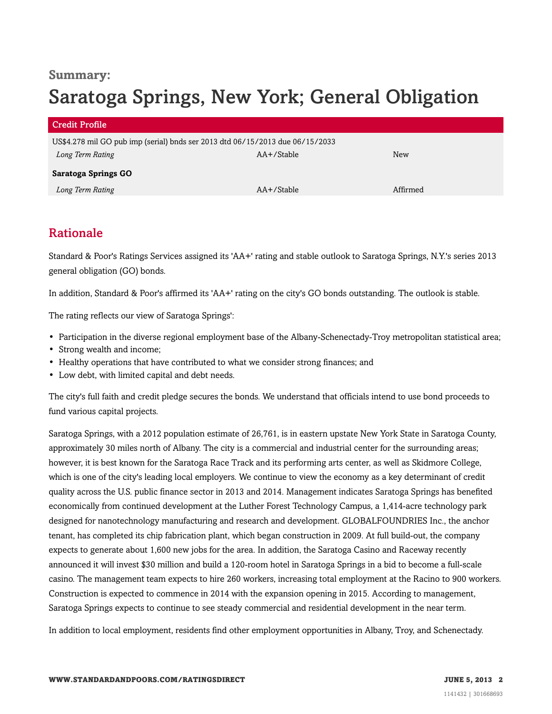### **Summary:** Saratoga Springs, New York; General Obligation

| <b>Credit Profile</b>                                                         |                 |          |
|-------------------------------------------------------------------------------|-----------------|----------|
| US\$4.278 mil GO pub imp (serial) bnds ser 2013 dtd 06/15/2013 due 06/15/2033 |                 |          |
| Long Term Rating                                                              | AA+/Stable      | New      |
| <b>Saratoga Springs GO</b>                                                    |                 |          |
| Long Term Rating                                                              | $AA + /$ Stable | Affirmed |

### <span id="page-1-0"></span>Rationale

Standard & Poor's Ratings Services assigned its 'AA+' rating and stable outlook to Saratoga Springs, N.Y.'s series 2013 general obligation (GO) bonds.

In addition, Standard & Poor's affirmed its 'AA+' rating on the city's GO bonds outstanding. The outlook is stable.

The rating reflects our view of Saratoga Springs':

- Participation in the diverse regional employment base of the Albany-Schenectady-Troy metropolitan statistical area;
- Strong wealth and income;
- Healthy operations that have contributed to what we consider strong finances; and
- Low debt, with limited capital and debt needs.

The city's full faith and credit pledge secures the bonds. We understand that officials intend to use bond proceeds to fund various capital projects.

Saratoga Springs, with a 2012 population estimate of 26,761, is in eastern upstate New York State in Saratoga County, approximately 30 miles north of Albany. The city is a commercial and industrial center for the surrounding areas; however, it is best known for the Saratoga Race Track and its performing arts center, as well as Skidmore College, which is one of the city's leading local employers. We continue to view the economy as a key determinant of credit quality across the U.S. public finance sector in 2013 and 2014. Management indicates Saratoga Springs has benefited economically from continued development at the Luther Forest Technology Campus, a 1,414-acre technology park designed for nanotechnology manufacturing and research and development. GLOBALFOUNDRIES Inc., the anchor tenant, has completed its chip fabrication plant, which began construction in 2009. At full build-out, the company expects to generate about 1,600 new jobs for the area. In addition, the Saratoga Casino and Raceway recently announced it will invest \$30 million and build a 120-room hotel in Saratoga Springs in a bid to become a full-scale casino. The management team expects to hire 260 workers, increasing total employment at the Racino to 900 workers. Construction is expected to commence in 2014 with the expansion opening in 2015. According to management, Saratoga Springs expects to continue to see steady commercial and residential development in the near term.

In addition to local employment, residents find other employment opportunities in Albany, Troy, and Schenectady.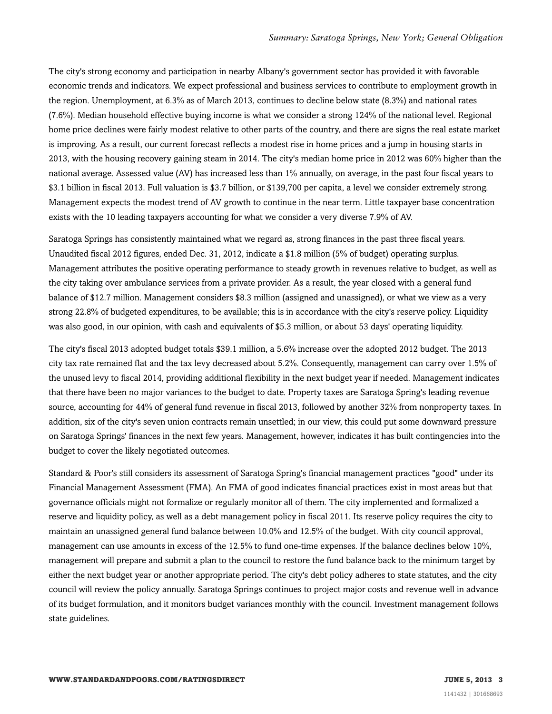The city's strong economy and participation in nearby Albany's government sector has provided it with favorable economic trends and indicators. We expect professional and business services to contribute to employment growth in the region. Unemployment, at 6.3% as of March 2013, continues to decline below state (8.3%) and national rates (7.6%). Median household effective buying income is what we consider a strong 124% of the national level. Regional home price declines were fairly modest relative to other parts of the country, and there are signs the real estate market is improving. As a result, our current forecast reflects a modest rise in home prices and a jump in housing starts in 2013, with the housing recovery gaining steam in 2014. The city's median home price in 2012 was 60% higher than the national average. Assessed value (AV) has increased less than 1% annually, on average, in the past four fiscal years to \$3.1 billion in fiscal 2013. Full valuation is \$3.7 billion, or \$139,700 per capita, a level we consider extremely strong. Management expects the modest trend of AV growth to continue in the near term. Little taxpayer base concentration exists with the 10 leading taxpayers accounting for what we consider a very diverse 7.9% of AV.

Saratoga Springs has consistently maintained what we regard as, strong finances in the past three fiscal years. Unaudited fiscal 2012 figures, ended Dec. 31, 2012, indicate a \$1.8 million (5% of budget) operating surplus. Management attributes the positive operating performance to steady growth in revenues relative to budget, as well as the city taking over ambulance services from a private provider. As a result, the year closed with a general fund balance of \$12.7 million. Management considers \$8.3 million (assigned and unassigned), or what we view as a very strong 22.8% of budgeted expenditures, to be available; this is in accordance with the city's reserve policy. Liquidity was also good, in our opinion, with cash and equivalents of \$5.3 million, or about 53 days' operating liquidity.

The city's fiscal 2013 adopted budget totals \$39.1 million, a 5.6% increase over the adopted 2012 budget. The 2013 city tax rate remained flat and the tax levy decreased about 5.2%. Consequently, management can carry over 1.5% of the unused levy to fiscal 2014, providing additional flexibility in the next budget year if needed. Management indicates that there have been no major variances to the budget to date. Property taxes are Saratoga Spring's leading revenue source, accounting for 44% of general fund revenue in fiscal 2013, followed by another 32% from nonproperty taxes. In addition, six of the city's seven union contracts remain unsettled; in our view, this could put some downward pressure on Saratoga Springs' finances in the next few years. Management, however, indicates it has built contingencies into the budget to cover the likely negotiated outcomes.

Standard & Poor's still considers its assessment of Saratoga Spring's financial management practices "good" under its Financial Management Assessment (FMA). An FMA of good indicates financial practices exist in most areas but that governance officials might not formalize or regularly monitor all of them. The city implemented and formalized a reserve and liquidity policy, as well as a debt management policy in fiscal 2011. Its reserve policy requires the city to maintain an unassigned general fund balance between 10.0% and 12.5% of the budget. With city council approval, management can use amounts in excess of the 12.5% to fund one-time expenses. If the balance declines below 10%, management will prepare and submit a plan to the council to restore the fund balance back to the minimum target by either the next budget year or another appropriate period. The city's debt policy adheres to state statutes, and the city council will review the policy annually. Saratoga Springs continues to project major costs and revenue well in advance of its budget formulation, and it monitors budget variances monthly with the council. Investment management follows state guidelines.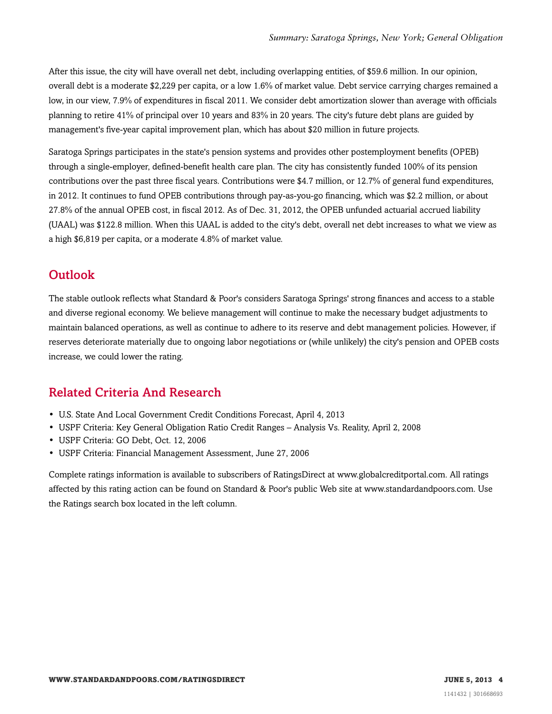After this issue, the city will have overall net debt, including overlapping entities, of \$59.6 million. In our opinion, overall debt is a moderate \$2,229 per capita, or a low 1.6% of market value. Debt service carrying charges remained a low, in our view, 7.9% of expenditures in fiscal 2011. We consider debt amortization slower than average with officials planning to retire 41% of principal over 10 years and 83% in 20 years. The city's future debt plans are guided by management's five-year capital improvement plan, which has about \$20 million in future projects.

Saratoga Springs participates in the state's pension systems and provides other postemployment benefits (OPEB) through a single-employer, defined-benefit health care plan. The city has consistently funded 100% of its pension contributions over the past three fiscal years. Contributions were \$4.7 million, or 12.7% of general fund expenditures, in 2012. It continues to fund OPEB contributions through pay-as-you-go financing, which was \$2.2 million, or about 27.8% of the annual OPEB cost, in fiscal 2012. As of Dec. 31, 2012, the OPEB unfunded actuarial accrued liability (UAAL) was \$122.8 million. When this UAAL is added to the city's debt, overall net debt increases to what we view as a high \$6,819 per capita, or a moderate 4.8% of market value.

### <span id="page-3-0"></span>**Outlook**

The stable outlook reflects what Standard & Poor's considers Saratoga Springs' strong finances and access to a stable and diverse regional economy. We believe management will continue to make the necessary budget adjustments to maintain balanced operations, as well as continue to adhere to its reserve and debt management policies. However, if reserves deteriorate materially due to ongoing labor negotiations or (while unlikely) the city's pension and OPEB costs increase, we could lower the rating.

### <span id="page-3-1"></span>Related Criteria And Research

- U.S. State And Local Government Credit Conditions Forecast, April 4, 2013
- USPF Criteria: Key General Obligation Ratio Credit Ranges Analysis Vs. Reality, April 2, 2008
- USPF Criteria: GO Debt, Oct. 12, 2006
- USPF Criteria: Financial Management Assessment, June 27, 2006

Complete ratings information is available to subscribers of RatingsDirect at www.globalcreditportal.com. All ratings affected by this rating action can be found on Standard & Poor's public Web site at www.standardandpoors.com. Use the Ratings search box located in the left column.